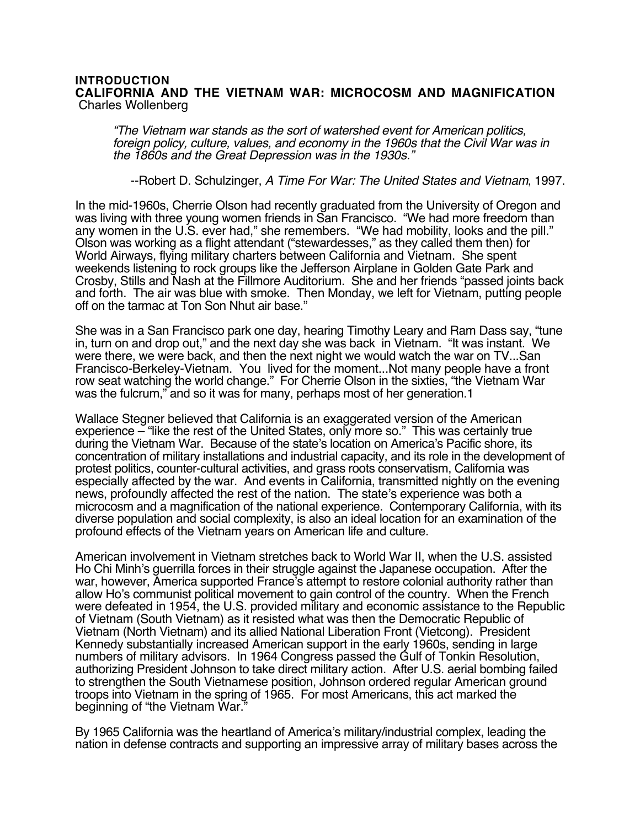## **INTRODUCTION CALIFORNIA AND THE VIETNAM WAR: MICROCOSM AND MAGNIFICATION** Charles Wollenberg

"The Vietnam war stands as the sort of watershed event for American politics, foreign policy, culture, values, and economy in the 1960s that the Civil War was in the 1860s and the Great Depression was in the 1930s."

--Robert D. Schulzinger, A Time For War: The United States and Vietnam, 1997.

In the mid-1960s, Cherrie Olson had recently graduated from the University of Oregon and was living with three young women friends in San Francisco. "We had more freedom than any women in the U.S. ever had," she remembers. "We had mobility, looks and the pill." Olson was working as a flight attendant ("stewardesses," as they called them then) for World Airways, flying military charters between California and Vietnam. She spent weekends listening to rock groups like the Jefferson Airplane in Golden Gate Park and Crosby, Stills and Nash at the Fillmore Auditorium. She and her friends "passed joints back and forth. The air was blue with smoke. Then Monday, we left for Vietnam, putting people off on the tarmac at Ton Son Nhut air base."

She was in a San Francisco park one day, hearing Timothy Leary and Ram Dass say, "tune in, turn on and drop out," and the next day she was back in Vietnam. "It was instant. We were there, we were back, and then the next night we would watch the war on TV...San Francisco-Berkeley-Vietnam. You lived for the moment...Not many people have a front row seat watching the world change." For Cherrie Olson in the sixties, "the Vietnam War was the fulcrum," and so it was for many, perhaps most of her generation.1

Wallace Stegner believed that California is an exaggerated version of the American experience – "like the rest of the United States, only more so." This was certainly true during the Vietnam War. Because of the state's location on America's Pacific shore, its concentration of military installations and industrial capacity, and its role in the development of protest politics, counter-cultural activities, and grass roots conservatism, California was especially affected by the war. And events in California, transmitted nightly on the evening news, profoundly affected the rest of the nation. The state's experience was both a microcosm and a magnification of the national experience. Contemporary California, with its diverse population and social complexity, is also an ideal location for an examination of the profound effects of the Vietnam years on American life and culture.

American involvement in Vietnam stretches back to World War II, when the U.S. assisted Ho Chi Minh's guerrilla forces in their struggle against the Japanese occupation. After the war, however, America supported France's attempt to restore colonial authority rather than allow Ho's communist political movement to gain control of the country. When the French were defeated in 1954, the U.S. provided military and economic assistance to the Republic of Vietnam (South Vietnam) as it resisted what was then the Democratic Republic of Vietnam (North Vietnam) and its allied National Liberation Front (Vietcong). President Kennedy substantially increased American support in the early 1960s, sending in large numbers of military advisors. In 1964 Congress passed the Gulf of Tonkin Resolution, authorizing President Johnson to take direct military action. After U.S. aerial bombing failed to strengthen the South Vietnamese position, Johnson ordered regular American ground troops into Vietnam in the spring of 1965. For most Americans, this act marked the beginning of "the Vietnam War."

By 1965 California was the heartland of America's military/industrial complex, leading the nation in defense contracts and supporting an impressive array of military bases across the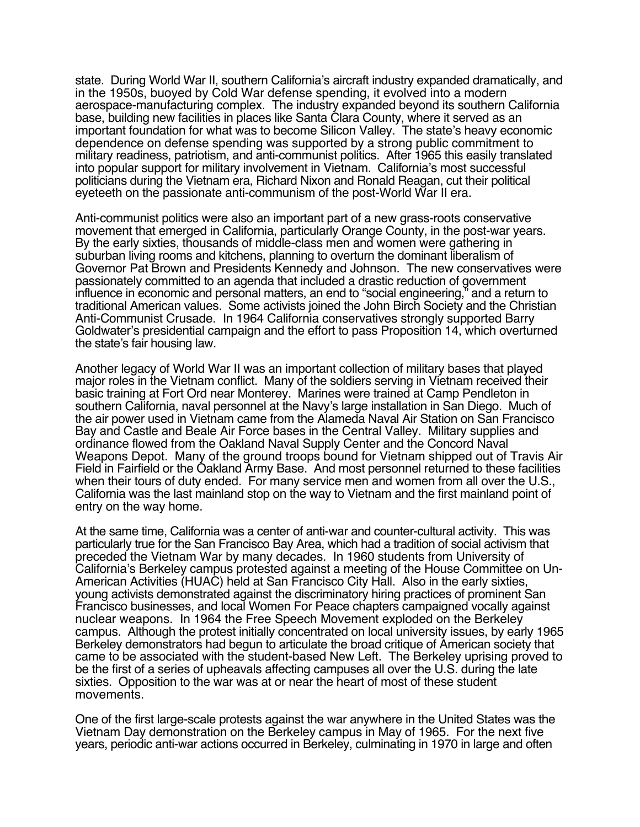state. During World War II, southern California's aircraft industry expanded dramatically, and in the 1950s, buoyed by Cold War defense spending, it evolved into a modern aerospace-manufacturing complex. The industry expanded beyond its southern California base, building new facilities in places like Santa Clara County, where it served as an important foundation for what was to become Silicon Valley. The state's heavy economic dependence on defense spending was supported by a strong public commitment to military readiness, patriotism, and anti-communist politics. After 1965 this easily translated into popular support for military involvement in Vietnam. California's most successful politicians during the Vietnam era, Richard Nixon and Ronald Reagan, cut their political eyeteeth on the passionate anti-communism of the post-World War II era.

Anti-communist politics were also an important part of a new grass-roots conservative movement that emerged in California, particularly Orange County, in the post-war years. By the early sixties, thousands of middle-class men and women were gathering in suburban living rooms and kitchens, planning to overturn the dominant liberalism of Governor Pat Brown and Presidents Kennedy and Johnson. The new conservatives were passionately committed to an agenda that included a drastic reduction of government influence in economic and personal matters, an end to "social engineering," and a return to traditional American values. Some activists joined the John Birch Society and the Christian Anti-Communist Crusade. In 1964 California conservatives strongly supported Barry Goldwater's presidential campaign and the effort to pass Proposition 14, which overturned the state's fair housing law.

Another legacy of World War II was an important collection of military bases that played major roles in the Vietnam conflict. Many of the soldiers serving in Vietnam received their basic training at Fort Ord near Monterey. Marines were trained at Camp Pendleton in southern California, naval personnel at the Navy's large installation in San Diego. Much of the air power used in Vietnam came from the Alameda Naval Air Station on San Francisco Bay and Castle and Beale Air Force bases in the Central Valley. Military supplies and ordinance flowed from the Oakland Naval Supply Center and the Concord Naval Weapons Depot. Many of the ground troops bound for Vietnam shipped out of Travis Air Field in Fairfield or the Oakland Army Base. And most personnel returned to these facilities when their tours of duty ended. For many service men and women from all over the U.S., California was the last mainland stop on the way to Vietnam and the first mainland point of entry on the way home.

At the same time, California was a center of anti-war and counter-cultural activity. This was particularly true for the San Francisco Bay Area, which had a tradition of social activism that preceded the Vietnam War by many decades. In 1960 students from University of California's Berkeley campus protested against a meeting of the House Committee on Un-American Activities (HUAC) held at San Francisco City Hall. Also in the early sixties, young activists demonstrated against the discriminatory hiring practices of prominent San Francisco businesses, and local Women For Peace chapters campaigned vocally against nuclear weapons. In 1964 the Free Speech Movement exploded on the Berkeley campus. Although the protest initially concentrated on local university issues, by early 1965 Berkeley demonstrators had begun to articulate the broad critique of American society that came to be associated with the student-based New Left. The Berkeley uprising proved to be the first of a series of upheavals affecting campuses all over the U.S. during the late sixties. Opposition to the war was at or near the heart of most of these student movements.

One of the first large-scale protests against the war anywhere in the United States was the Vietnam Day demonstration on the Berkeley campus in May of 1965. For the next five years, periodic anti-war actions occurred in Berkeley, culminating in 1970 in large and often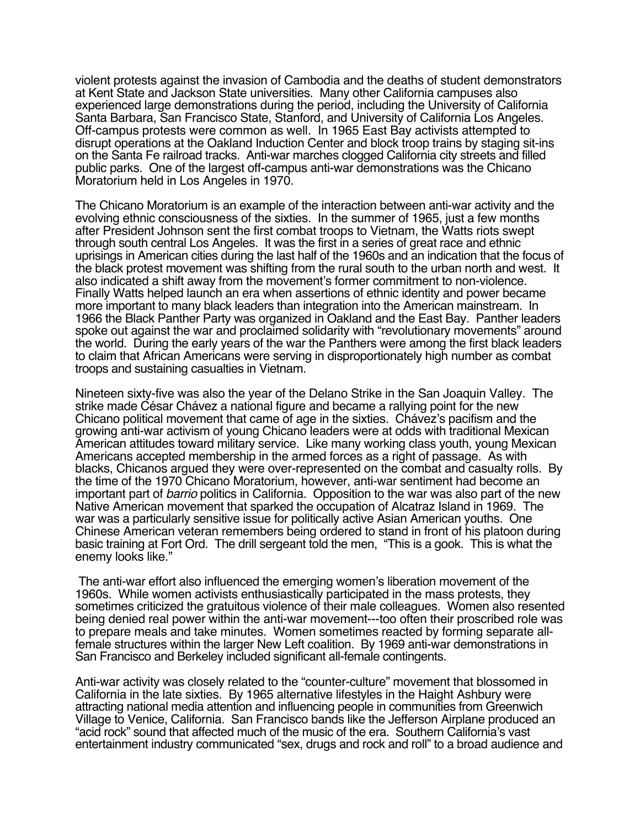violent protests against the invasion of Cambodia and the deaths of student demonstrators at Kent State and Jackson State universities. Many other California campuses also experienced large demonstrations during the period, including the University of California Santa Barbara, San Francisco State, Stanford, and University of California Los Angeles. Off-campus protests were common as well. In 1965 East Bay activists attempted to disrupt operations at the Oakland Induction Center and block troop trains by staging sit-ins on the Santa Fe railroad tracks. Anti-war marches clogged California city streets and filled public parks. One of the largest off-campus anti-war demonstrations was the Chicano Moratorium held in Los Angeles in 1970.

The Chicano Moratorium is an example of the interaction between anti-war activity and the evolving ethnic consciousness of the sixties. In the summer of 1965, just a few months after President Johnson sent the first combat troops to Vietnam, the Watts riots swept through south central Los Angeles. It was the first in a series of great race and ethnic uprisings in American cities during the last half of the 1960s and an indication that the focus of the black protest movement was shifting from the rural south to the urban north and west. It also indicated a shift away from the movement's former commitment to non-violence. Finally Watts helped launch an era when assertions of ethnic identity and power became more important to many black leaders than integration into the American mainstream. In 1966 the Black Panther Party was organized in Oakland and the East Bay. Panther leaders spoke out against the war and proclaimed solidarity with "revolutionary movements" around the world. During the early years of the war the Panthers were among the first black leaders to claim that African Americans were serving in disproportionately high number as combat troops and sustaining casualties in Vietnam.

Nineteen sixty-five was also the year of the Delano Strike in the San Joaquin Valley. The strike made César Chávez a national figure and became a rallying point for the new Chicano political movement that came of age in the sixties. Chávez's pacifism and the growing anti-war activism of young Chicano leaders were at odds with traditional Mexican American attitudes toward military service. Like many working class youth, young Mexican Americans accepted membership in the armed forces as a right of passage. As with blacks, Chicanos argued they were over-represented on the combat and casualty rolls. By the time of the 1970 Chicano Moratorium, however, anti-war sentiment had become an important part of barrio politics in California. Opposition to the war was also part of the new Native American movement that sparked the occupation of Alcatraz Island in 1969. The war was a particularly sensitive issue for politically active Asian American youths. One Chinese American veteran remembers being ordered to stand in front of his platoon during basic training at Fort Ord. The drill sergeant told the men, "This is a gook. This is what the enemy looks like."

 The anti-war effort also influenced the emerging women's liberation movement of the 1960s. While women activists enthusiastically participated in the mass protests, they sometimes criticized the gratuitous violence of their male colleagues. Women also resented being denied real power within the anti-war movement---too often their proscribed role was to prepare meals and take minutes. Women sometimes reacted by forming separate allfemale structures within the larger New Left coalition. By 1969 anti-war demonstrations in San Francisco and Berkeley included significant all-female contingents.

Anti-war activity was closely related to the "counter-culture" movement that blossomed in California in the late sixties. By 1965 alternative lifestyles in the Haight Ashbury were attracting national media attention and influencing people in communities from Greenwich Village to Venice, California. San Francisco bands like the Jefferson Airplane produced an "acid rock" sound that affected much of the music of the era. Southern California's vast entertainment industry communicated "sex, drugs and rock and roll" to a broad audience and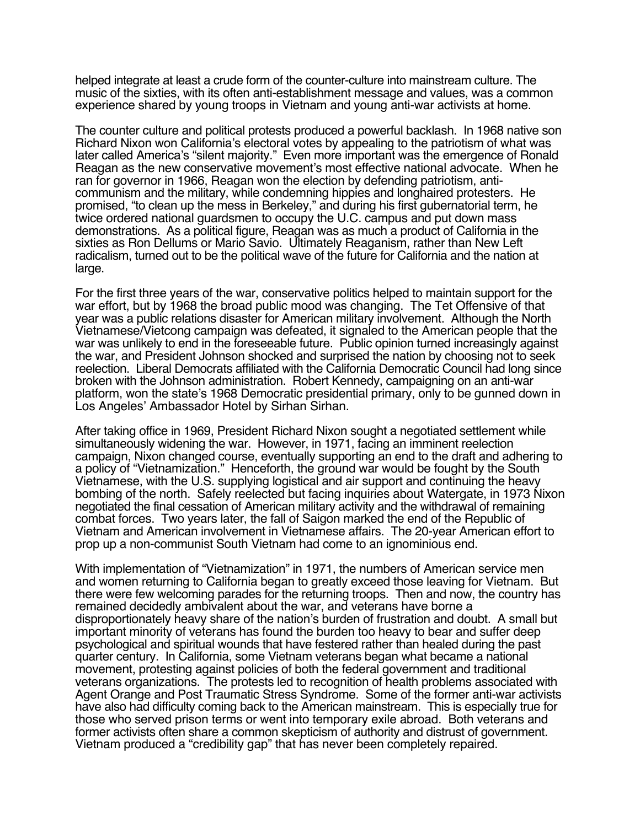helped integrate at least a crude form of the counter-culture into mainstream culture. The music of the sixties, with its often anti-establishment message and values, was a common experience shared by young troops in Vietnam and young anti-war activists at home.

The counter culture and political protests produced a powerful backlash. In 1968 native son Richard Nixon won California's electoral votes by appealing to the patriotism of what was later called America's "silent majority." Even more important was the emergence of Ronald Reagan as the new conservative movement's most effective national advocate. When he ran for governor in 1966, Reagan won the election by defending patriotism, anticommunism and the military, while condemning hippies and longhaired protesters. He promised, "to clean up the mess in Berkeley," and during his first gubernatorial term, he twice ordered national guardsmen to occupy the U.C. campus and put down mass demonstrations. As a political figure, Reagan was as much a product of California in the sixties as Ron Dellums or Mario Savio. Ultimately Reaganism, rather than New Left radicalism, turned out to be the political wave of the future for California and the nation at large.

For the first three years of the war, conservative politics helped to maintain support for the war effort, but by 1968 the broad public mood was changing. The Tet Offensive of that year was a public relations disaster for American military involvement. Although the North Vietnamese/Vietcong campaign was defeated, it signaled to the American people that the war was unlikely to end in the foreseeable future. Public opinion turned increasingly against the war, and President Johnson shocked and surprised the nation by choosing not to seek reelection. Liberal Democrats affiliated with the California Democratic Council had long since broken with the Johnson administration. Robert Kennedy, campaigning on an anti-war platform, won the state's 1968 Democratic presidential primary, only to be gunned down in Los Angeles' Ambassador Hotel by Sirhan Sirhan.

After taking office in 1969, President Richard Nixon sought a negotiated settlement while simultaneously widening the war. However, in 1971, facing an imminent reelection campaign, Nixon changed course, eventually supporting an end to the draft and adhering to a policy of "Vietnamization." Henceforth, the ground war would be fought by the South Vietnamese, with the U.S. supplying logistical and air support and continuing the heavy bombing of the north. Safely reelected but facing inquiries about Watergate, in 1973 Nixon negotiated the final cessation of American military activity and the withdrawal of remaining combat forces. Two years later, the fall of Saigon marked the end of the Republic of Vietnam and American involvement in Vietnamese affairs. The 20-year American effort to prop up a non-communist South Vietnam had come to an ignominious end.

With implementation of "Vietnamization" in 1971, the numbers of American service men and women returning to California began to greatly exceed those leaving for Vietnam. But there were few welcoming parades for the returning troops. Then and now, the country has remained decidedly ambivalent about the war, and veterans have borne a disproportionately heavy share of the nation's burden of frustration and doubt. A small but important minority of veterans has found the burden too heavy to bear and suffer deep psychological and spiritual wounds that have festered rather than healed during the past quarter century. In California, some Vietnam veterans began what became a national movement, protesting against policies of both the federal government and traditional veterans organizations. The protests led to recognition of health problems associated with Agent Orange and Post Traumatic Stress Syndrome. Some of the former anti-war activists have also had difficulty coming back to the American mainstream. This is especially true for those who served prison terms or went into temporary exile abroad. Both veterans and former activists often share a common skepticism of authority and distrust of government. Vietnam produced a "credibility gap" that has never been completely repaired.